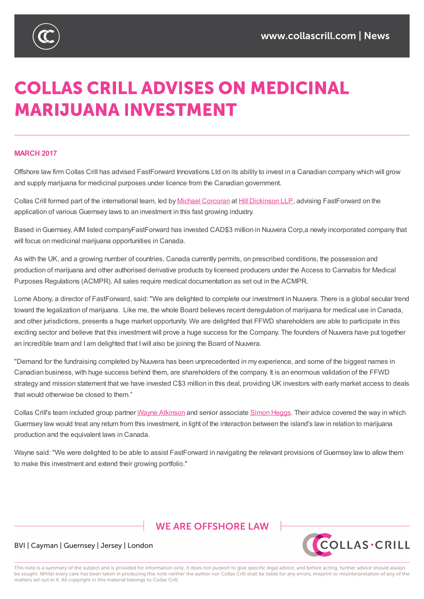

# **COLLAS CRILL ADVISES ON MEDICINAL MARIJUANA INVESTMENT**

#### **MARCH 2017**

Offshore law firm Collas Crill has advised FastForward Innovations Ltd on its ability to invest in a Canadian company which will grow and supply marijuana for medicinal purposes under licence from the Canadian government.

Collas Crill formed part of the international team, led by Michael Corcoran at Hill Dickinson LLP, advising FastForward on the application of various Guernsey laws to an investment in this fast growing industry.

Based inGuernsey, AIM listed companyFastForward has [invested](http://www.hilldickinson.com/people/michael-corcoran) CAD\$3 million in [Nuuvera](http://www.hilldickinson.com/) Corp,a newly incorporated company that will focus on medicinal marijuana opportunities in Canada.

As with the UK, and a growing number of countries, Canada currently permits, on prescribed conditions, the possession and production of marijuana and other authorised derivative products by licensed producers under the Access to Cannabis for Medical Purposes Regulations (ACMPR). All sales require medical documentation as set out in the ACMPR.

Lorne Abony, a director of FastForward, said: "We are delighted to complete our investment in Nuuvera. There is a global secular trend toward the legalization of marijuana. Like me, the whole Board believes recent deregulation of marijuana for medical use in Canada, and other jurisdictions, presents a huge market opportunity. We are delighted that FFWD shareholders are able to participate in this exciting sector and believe that this investment will prove a huge success for the Company. The founders of Nuuvera have put together an incredible team and I am delighted that Iwill also be joining the Board of Nuuvera.

"Demand for the fundraising completed by Nuuvera has been unprecedented in my experience, and some of the biggest names in Canadian business, with huge success behind them, are shareholders of the company. It is an enormous validation of the FFWD strategy and mission statement that we have invested C\$3 million in this deal, providing UK investors with early market access to deals that would otherwise be closed to them."

Collas Crill's team included group partner Wayne Atkinson and senior associate Simon Heggs. Their advice covered the way in which Guernsey law would treat any return from this investment, in light of the interaction between the island's law in relation to marijuana production and the equivalent laws in Canada.

Wayne said: "We were delighted to be able to [assist](https://www.collascrill.com/who-we-are/a/wayne-atkinson/) FastForward in navigating the [relevant](https://www.collascrill.com/who-we-are/h/simon-heggs/) provisions of Guernsey law to allow them to make this investment and extend their growing portfolio."

## **WE ARE OFFSHORE LAW**



#### BVI | Cayman | Guernsey | Jersey | London

This note is a summary of the subject and is provided for information only. It does not purport to give specific legal advice, and before acting, further advice should always be sought. Whilst every care has been taken in producing this note neither the author nor Collas Crill shall be liable for any errors, misprint or misinterpretation of any of the matters set out in it. All copyright in this material belongs to Collas Crill.